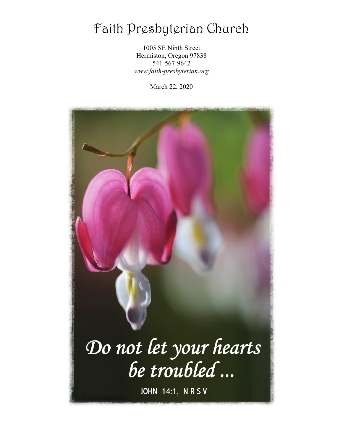# Faith Presbyterian Church

1005 SE Ninth Street Hermiston, Oregon 97838 541-567-9642 *www.faith-presbyterian.org*

March 22, 2020

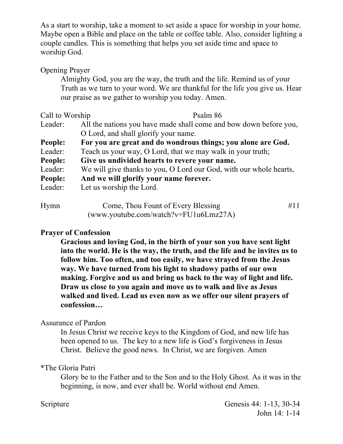As a start to worship, take a moment to set aside a space for worship in your home. Maybe open a Bible and place on the table or coffee table. Also, consider lighting a couple candles. This is something that helps you set aside time and space to worship God.

#### Opening Prayer

Almighty God, you are the way, the truth and the life. Remind us of your Truth as we turn to your word. We are thankful for the life you give us. Hear our praise as we gather to worship you today. Amen.

| Call to Worship | Psalm 86                                                           |
|-----------------|--------------------------------------------------------------------|
| Leader:         | All the nations you have made shall come and bow down before you,  |
|                 | O Lord, and shall glorify your name.                               |
| <b>People:</b>  | For you are great and do wondrous things; you alone are God.       |
| Leader:         | Teach us your way, O Lord, that we may walk in your truth;         |
| People:         | Give us undivided hearts to revere your name.                      |
| Leader:         | We will give thanks to you, O Lord our God, with our whole hearts, |
| People:         | And we will glorify your name forever.                             |
| Leader:         | Let us worship the Lord.                                           |
| Hymn            | Come, Thou Fount of Every Blessing<br>#11                          |

| ттушш | COME, THOU FOUND OF EVERY DIESSING      |  |
|-------|-----------------------------------------|--|
|       | $(www.youtube.com/watch?v=FU1u6Lmz27A)$ |  |

#### **Prayer of Confession**

**Gracious and loving God, in the birth of your son you have sent light into the world. He is the way, the truth, and the life and he invites us to follow him. Too often, and too easily, we have strayed from the Jesus way. We have turned from his light to shadowy paths of our own making. Forgive and us and bring us back to the way of light and life. Draw us close to you again and move us to walk and live as Jesus walked and lived. Lead us even now as we offer our silent prayers of confession…** 

#### Assurance of Pardon

In Jesus Christ we receive keys to the Kingdom of God, and new life has been opened to us. The key to a new life is God's forgiveness in Jesus Christ. Believe the good news. In Christ, we are forgiven. Amen

#### \*The Gloria Patri

Glory be to the Father and to the Son and to the Holy Ghost. As it was in the beginning, is now, and ever shall be. World without end Amen.

Scripture Genesis 44: 1-13, 30-34 John 14: 1-14